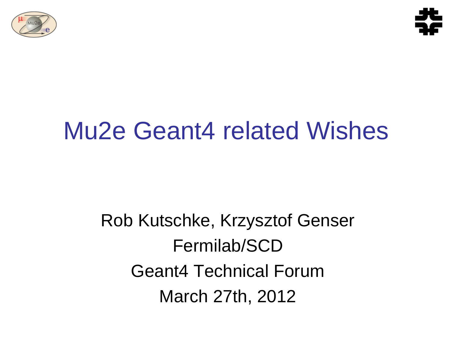



## Mu2e Geant4 related Wishes

Rob Kutschke, Krzysztof Genser Fermilab/SCD Geant4 Technical Forum March 27th, 2012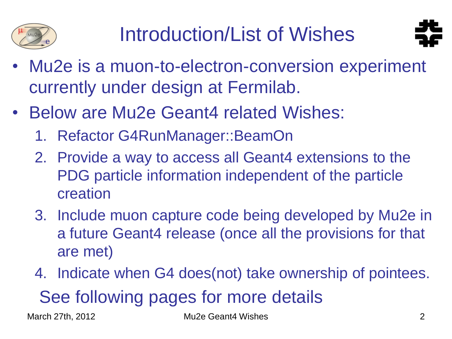



- Mu2e is a muon-to-electron-conversion experiment currently under design at Fermilab.
- Below are Mu2e Geant4 related Wishes:
	- 1. Refactor G4RunManager::BeamOn
	- 2. Provide a way to access all Geant4 extensions to the PDG particle information independent of the particle creation
	- 3. Include muon capture code being developed by Mu2e in a future Geant4 release (once all the provisions for that are met)
	- 4. Indicate when G4 does(not) take ownership of pointees. See following pages for more details

March 27th, 2012 **Mu2e Geant4 Wishes** 2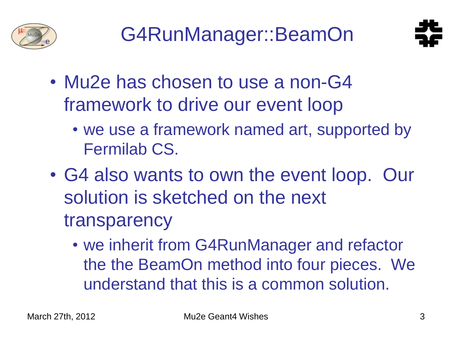



- Mu2e has chosen to use a non-G4 framework to drive our event loop
	- we use a framework named art, supported by Fermilab CS.
- G4 also wants to own the event loop. Our solution is sketched on the next transparency
	- we inherit from G4RunManager and refactor the the BeamOn method into four pieces. We understand that this is a common solution.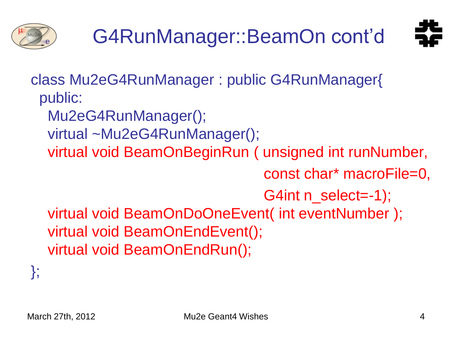



class Mu2eG4RunManager : public G4RunManager{ public:

Mu2eG4RunManager();

- virtual ~Mu2eG4RunManager();
- virtual void BeamOnBeginRun ( unsigned int runNumber,

const char\* macroFile=0,

G4int n\_select=-1);

 virtual void BeamOnDoOneEvent( int eventNumber ); virtual void BeamOnEndEvent(); virtual void BeamOnEndRun();

};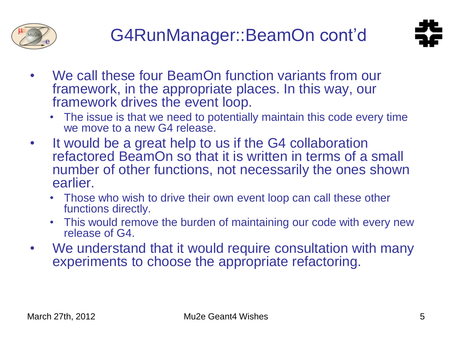



- We call these four BeamOn function variants from our framework, in the appropriate places. In this way, our framework drives the event loop.
	- The issue is that we need to potentially maintain this code every time we move to a new G4 release.
- It would be a great help to us if the G4 collaboration refactored BeamOn so that it is written in terms of a small number of other functions, not necessarily the ones shown earlier.
	- Those who wish to drive their own event loop can call these other functions directly.
	- This would remove the burden of maintaining our code with every new release of G4.
- We understand that it would require consultation with many experiments to choose the appropriate refactoring.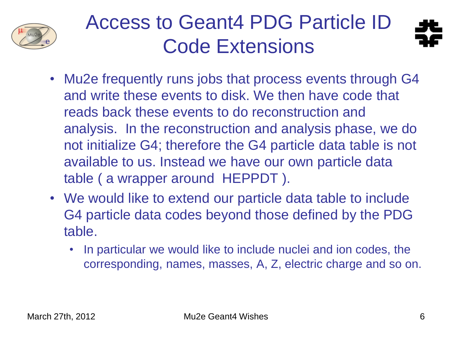

## Access to Geant4 PDG Particle ID Code Extensions



- Mu2e frequently runs jobs that process events through G4 and write these events to disk. We then have code that reads back these events to do reconstruction and analysis. In the reconstruction and analysis phase, we do not initialize G4; therefore the G4 particle data table is not available to us. Instead we have our own particle data table ( a wrapper around HEPPDT ).
- We would like to extend our particle data table to include G4 particle data codes beyond those defined by the PDG table.
	- In particular we would like to include nuclei and ion codes, the corresponding, names, masses, A, Z, electric charge and so on.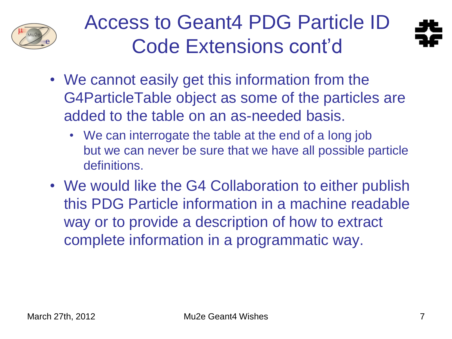

## Access to Geant4 PDG Particle ID Code Extensions cont'd



- We cannot easily get this information from the G4ParticleTable object as some of the particles are added to the table on an as-needed basis.
	- We can interrogate the table at the end of a long job but we can never be sure that we have all possible particle definitions.
- We would like the G4 Collaboration to either publish this PDG Particle information in a machine readable way or to provide a description of how to extract complete information in a programmatic way.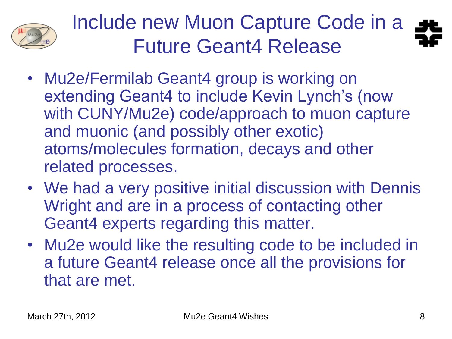

Include new Muon Capture Code in a Future Geant4 Release

- Mu2e/Fermilab Geant4 group is working on extending Geant4 to include Kevin Lynch's (now with CUNY/Mu2e) code/approach to muon capture and muonic (and possibly other exotic) atoms/molecules formation, decays and other related processes.
- We had a very positive initial discussion with Dennis Wright and are in a process of contacting other Geant4 experts regarding this matter.
- Mu2e would like the resulting code to be included in a future Geant4 release once all the provisions for that are met.